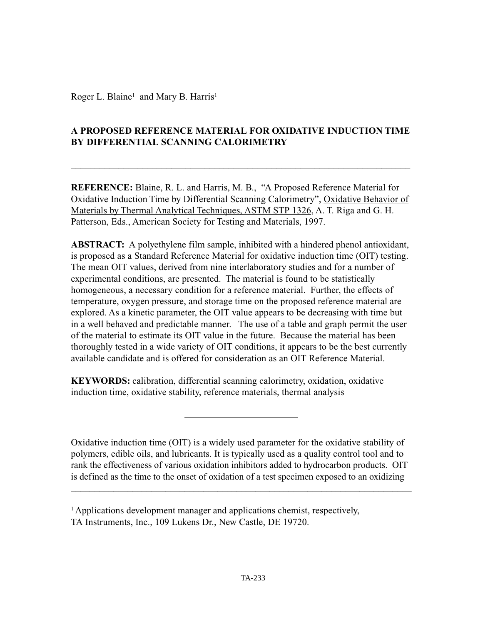Roger L. Blaine<sup>1</sup> and Mary B. Harris<sup>1</sup>

# **A PROPOSED REFERENCE MATERIAL FOR OXIDATIVE INDUCTION TIME BY DIFFERENTIAL SCANNING CALORIMETRY**

 $\_$ 

**REFERENCE:** Blaine, R. L. and Harris, M. B., "A Proposed Reference Material for Oxidative Induction Time by Differential Scanning Calorimetry", Oxidative Behavior of Materials by Thermal Analytical Techniques, ASTM STP 1326, A. T. Riga and G. H. Patterson, Eds., American Society for Testing and Materials, 1997.

**ABSTRACT:** A polyethylene film sample, inhibited with a hindered phenol antioxidant, is proposed as a Standard Reference Material for oxidative induction time (OIT) testing. The mean OIT values, derived from nine interlaboratory studies and for a number of experimental conditions, are presented. The material is found to be statistically homogeneous, a necessary condition for a reference material. Further, the effects of temperature, oxygen pressure, and storage time on the proposed reference material are explored. As a kinetic parameter, the OIT value appears to be decreasing with time but in a well behaved and predictable manner. The use of a table and graph permit the user of the material to estimate its OIT value in the future. Because the material has been thoroughly tested in a wide variety of OIT conditions, it appears to be the best currently available candidate and is offered for consideration as an OIT Reference Material.

**KEYWORDS:** calibration, differential scanning calorimetry, oxidation, oxidative induction time, oxidative stability, reference materials, thermal analysis

Oxidative induction time (OIT) is a widely used parameter for the oxidative stability of polymers, edible oils, and lubricants. It is typically used as a quality control tool and to rank the effectiveness of various oxidation inhibitors added to hydrocarbon products. OIT is defined as the time to the onset of oxidation of a test specimen exposed to an oxidizing

 $\overline{\phantom{a}}$  , and the contract of the contract of the contract of the contract of the contract of the contract of the contract of the contract of the contract of the contract of the contract of the contract of the contrac

<sup>&</sup>lt;sup>1</sup> Applications development manager and applications chemist, respectively, TA Instruments, Inc., 109 Lukens Dr., New Castle, DE 19720.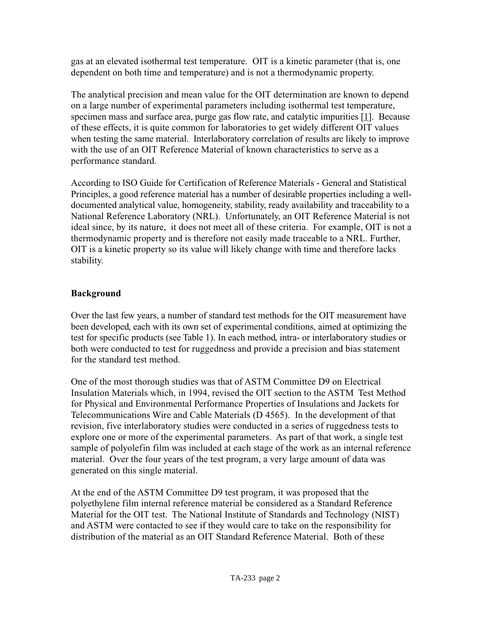gas at an elevated isothermal test temperature. OIT is a kinetic parameter (that is, one dependent on both time and temperature) and is not a thermodynamic property.

The analytical precision and mean value for the OIT determination are known to depend on a large number of experimental parameters including isothermal test temperature, specimen mass and surface area, purge gas flow rate, and catalytic impurities  $[1]$ . Because of these effects, it is quite common for laboratories to get widely different OIT values when testing the same material. Interlaboratory correlation of results are likely to improve with the use of an OIT Reference Material of known characteristics to serve as a performance standard.

According to ISO Guide for Certification of Reference Materials - General and Statistical Principles, a good reference material has a number of desirable properties including a welldocumented analytical value, homogeneity, stability, ready availability and traceability to a National Reference Laboratory (NRL). Unfortunately, an OIT Reference Material is not ideal since, by its nature, it does not meet all of these criteria. For example, OIT is not a thermodynamic property and is therefore not easily made traceable to a NRL. Further, OIT is a kinetic property so its value will likely change with time and therefore lacks stability.

# **Background**

Over the last few years, a number of standard test methods for the OIT measurement have been developed, each with its own set of experimental conditions, aimed at optimizing the test for specific products (see Table 1). In each method, intra- or interlaboratory studies or both were conducted to test for ruggedness and provide a precision and bias statement for the standard test method.

One of the most thorough studies was that of ASTM Committee D9 on Electrical Insulation Materials which, in 1994, revised the OIT section to the ASTM Test Method for Physical and Environmental Performance Properties of Insulations and Jackets for Telecommunications Wire and Cable Materials (D 4565). In the development of that revision, five interlaboratory studies were conducted in a series of ruggedness tests to explore one or more of the experimental parameters. As part of that work, a single test sample of polyolefin film was included at each stage of the work as an internal reference material. Over the four years of the test program, a very large amount of data was generated on this single material.

At the end of the ASTM Committee D9 test program, it was proposed that the polyethylene film internal reference material be considered as a Standard Reference Material for the OIT test. The National Institute of Standards and Technology (NIST) and ASTM were contacted to see if they would care to take on the responsibility for distribution of the material as an OIT Standard Reference Material. Both of these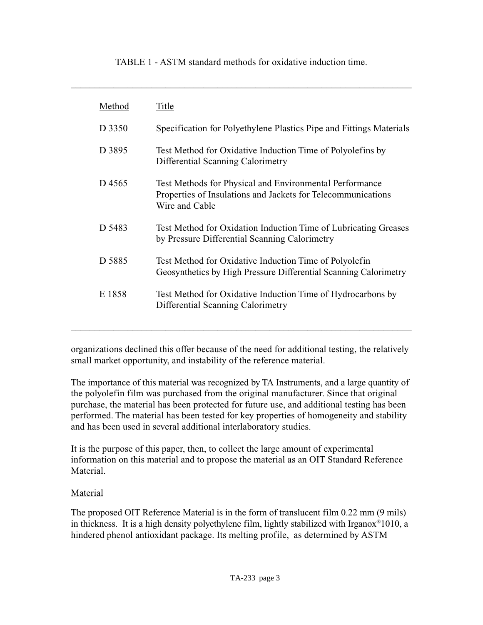#### TABLE 1 - ASTM standard methods for oxidative induction time.

\_\_\_\_\_\_\_\_\_\_\_\_\_\_\_\_\_\_\_\_\_\_\_\_\_\_\_\_\_\_\_\_\_\_\_\_\_\_\_\_\_\_\_\_\_\_\_\_\_\_\_\_\_\_\_\_\_\_\_\_\_\_\_\_\_\_\_\_\_\_\_\_

| Method | Title                                                                                                                                     |
|--------|-------------------------------------------------------------------------------------------------------------------------------------------|
| D 3350 | Specification for Polyethylene Plastics Pipe and Fittings Materials                                                                       |
| D 3895 | Test Method for Oxidative Induction Time of Polyolefins by<br>Differential Scanning Calorimetry                                           |
| D 4565 | Test Methods for Physical and Environmental Performance<br>Properties of Insulations and Jackets for Telecommunications<br>Wire and Cable |
| D 5483 | Test Method for Oxidation Induction Time of Lubricating Greases<br>by Pressure Differential Scanning Calorimetry                          |
| D 5885 | Test Method for Oxidative Induction Time of Polyolefin<br>Geosynthetics by High Pressure Differential Scanning Calorimetry                |
| E 1858 | Test Method for Oxidative Induction Time of Hydrocarbons by<br>Differential Scanning Calorimetry                                          |

organizations declined this offer because of the need for additional testing, the relatively small market opportunity, and instability of the reference material.

\_\_\_\_\_\_\_\_\_\_\_\_\_\_\_\_\_\_\_\_\_\_\_\_\_\_\_\_\_\_\_\_\_\_\_\_\_\_\_\_\_\_\_\_\_\_\_\_\_\_\_\_\_\_\_\_\_\_\_\_\_\_\_\_\_\_\_\_\_\_\_\_

The importance of this material was recognized by TA Instruments, and a large quantity of the polyolefin film was purchased from the original manufacturer. Since that original purchase, the material has been protected for future use, and additional testing has been performed. The material has been tested for key properties of homogeneity and stability and has been used in several additional interlaboratory studies.

It is the purpose of this paper, then, to collect the large amount of experimental information on this material and to propose the material as an OIT Standard Reference Material.

### Material

The proposed OIT Reference Material is in the form of translucent film 0.22 mm (9 mils) in thickness. It is a high density polyethylene film, lightly stabilized with Irganox®1010, a hindered phenol antioxidant package. Its melting profile, as determined by ASTM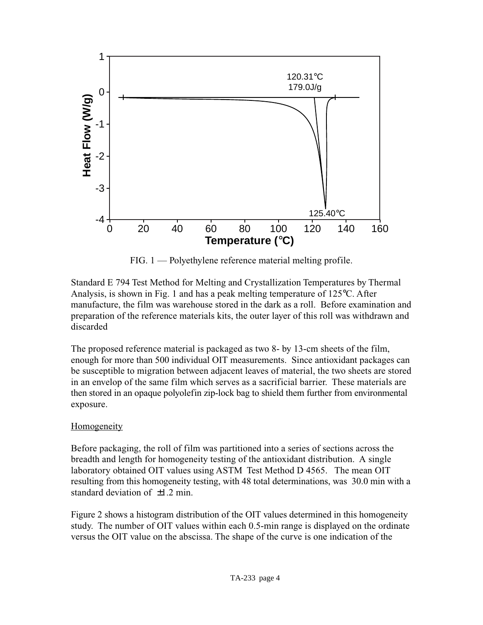

FIG. 1 — Polyethylene reference material melting profile.

Standard E 794 Test Method for Melting and Crystallization Temperatures by Thermal Analysis, is shown in Fig. 1 and has a peak melting temperature of 125°C. After manufacture, the film was warehouse stored in the dark as a roll. Before examination and preparation of the reference materials kits, the outer layer of this roll was withdrawn and discarded

The proposed reference material is packaged as two 8- by 13-cm sheets of the film, enough for more than 500 individual OIT measurements. Since antioxidant packages can be susceptible to migration between adjacent leaves of material, the two sheets are stored in an envelop of the same film which serves as a sacrificial barrier. These materials are then stored in an opaque polyolefin zip-lock bag to shield them further from environmental exposure.

# Homogeneity

Before packaging, the roll of film was partitioned into a series of sections across the breadth and length for homogeneity testing of the antioxidant distribution. A single laboratory obtained OIT values using ASTM Test Method D 4565. The mean OIT resulting from this homogeneity testing, with 48 total determinations, was 30.0 min with a standard deviation of  $\pm 1.2$  min.

Figure 2 shows a histogram distribution of the OIT values determined in this homogeneity study. The number of OIT values within each 0.5-min range is displayed on the ordinate versus the OIT value on the abscissa. The shape of the curve is one indication of the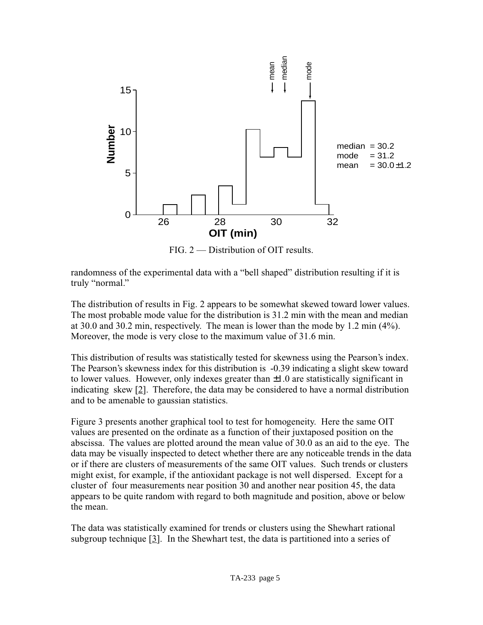

FIG. 2 — Distribution of OIT results.

randomness of the experimental data with a "bell shaped" distribution resulting if it is truly "normal."

The distribution of results in Fig. 2 appears to be somewhat skewed toward lower values. The most probable mode value for the distribution is 31.2 min with the mean and median at 30.0 and 30.2 min, respectively. The mean is lower than the mode by 1.2 min (4%). Moreover, the mode is very close to the maximum value of 31.6 min.

This distribution of results was statistically tested for skewness using the Pearson's index. The Pearson's skewness index for this distribution is -0.39 indicating a slight skew toward to lower values. However, only indexes greater than  $\pm 1.0$  are statistically significant in indicating skew  $[2]$ . Therefore, the data may be considered to have a normal distribution and to be amenable to gaussian statistics.

Figure 3 presents another graphical tool to test for homogeneity. Here the same OIT values are presented on the ordinate as a function of their juxtaposed position on the abscissa. The values are plotted around the mean value of 30.0 as an aid to the eye. The data may be visually inspected to detect whether there are any noticeable trends in the data or if there are clusters of measurements of the same OIT values. Such trends or clusters might exist, for example, if the antioxidant package is not well dispersed. Except for a cluster of four measurements near position 30 and another near position 45, the data appears to be quite random with regard to both magnitude and position, above or below the mean.

The data was statistically examined for trends or clusters using the Shewhart rational subgroup technique [3]. In the Shewhart test, the data is partitioned into a series of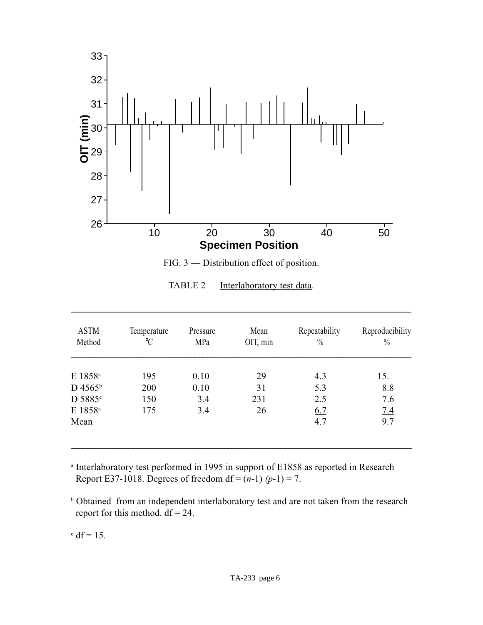

FIG. 3 — Distribution effect of position.

| TABLE 2 — Interlaboratory test data. |  |
|--------------------------------------|--|
|                                      |  |

\_\_\_\_\_\_\_\_\_\_\_\_\_\_\_\_\_\_\_\_\_\_\_\_\_\_\_\_\_\_\_\_\_\_\_\_\_\_\_\_\_\_\_\_\_\_\_\_\_\_\_\_\_\_\_\_\_\_\_\_\_\_\_\_\_\_\_\_\_\_\_\_\_\_\_\_\_\_\_\_\_\_\_\_

| <b>ASTM</b><br>Method | Temperature<br>$\rm ^{\circ}C$ | Pressure<br>MPa | Mean<br>OIT, min | Repeatability<br>$\frac{0}{0}$ | Reproducibility<br>$\frac{0}{0}$ |
|-----------------------|--------------------------------|-----------------|------------------|--------------------------------|----------------------------------|
| E 1858 <sup>a</sup>   | 195                            | 0.10            | 29               | 4.3                            | 15.                              |
| D 4565 <sup>b</sup>   | 200                            | 0.10            | 31               | 5.3                            | 8.8                              |
| D 5885 <sup>c</sup>   | 150                            | 3.4             | 231              | 2.5                            | 7.6                              |
| E 1858 <sup>a</sup>   | 175                            | 3.4             | 26               | 6.7                            | 7.4                              |
| Mean                  |                                |                 |                  | 4.7                            | 9.7                              |
|                       |                                |                 |                  |                                |                                  |

<sup>a</sup> Interlaboratory test performed in 1995 in support of E1858 as reported in Research Report E37-1018. Degrees of freedom df =  $(n-1)$   $(p-1) = 7$ .

<sup>b</sup> Obtained from an independent interlaboratory test and are not taken from the research report for this method.  $df = 24$ .

 $\mathrm{c}$  df = 15.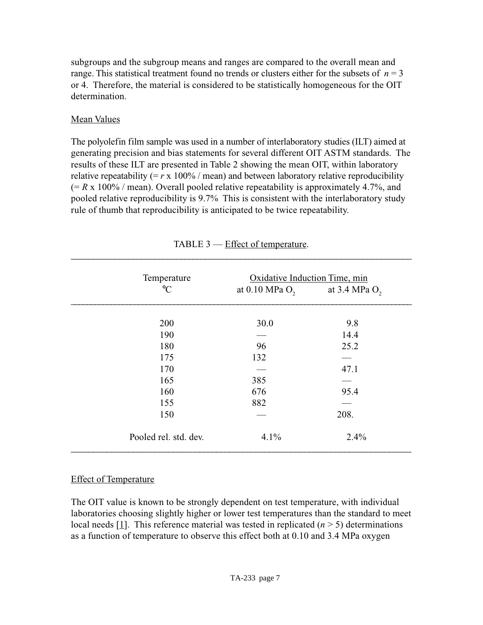subgroups and the subgroup means and ranges are compared to the overall mean and range. This statistical treatment found no trends or clusters either for the subsets of  $n = 3$ or 4. Therefore, the material is considered to be statistically homogeneous for the OIT determination.

### Mean Values

The polyolefin film sample was used in a number of interlaboratory studies (ILT) aimed at generating precision and bias statements for several different OIT ASTM standards. The results of these ILT are presented in Table 2 showing the mean OIT, within laboratory relative repeatability ( $=r \times 100\%$  / mean) and between laboratory relative reproducibility  $(= R \times 100\% / \text{mean})$ . Overall pooled relative repeatability is approximately 4.7%, and pooled relative reproducibility is 9.7% This is consistent with the interlaboratory study rule of thumb that reproducibility is anticipated to be twice repeatability.

| Temperature           | Oxidative Induction Time, min |                 |
|-----------------------|-------------------------------|-----------------|
| $\rm ^{\circ}C$       | at $0.10$ MPa $O2$            | at 3.4 MPa $O2$ |
| 200                   | 30.0                          | 9.8             |
| 190                   |                               | 14.4            |
| 180                   | 96                            | 25.2            |
| 175                   | 132                           |                 |
| 170                   |                               | 47.1            |
| 165                   | 385                           |                 |
| 160                   | 676                           | 95.4            |
| 155                   | 882                           |                 |
| 150                   |                               | 208.            |
| Pooled rel. std. dev. | 4.1%                          | 2.4%            |

### TABLE 3 — Effect of temperature.

# Effect of Temperature

The OIT value is known to be strongly dependent on test temperature, with individual laboratories choosing slightly higher or lower test temperatures than the standard to meet local needs [1]. This reference material was tested in replicated  $(n \geq 5)$  determinations as a function of temperature to observe this effect both at 0.10 and 3.4 MPa oxygen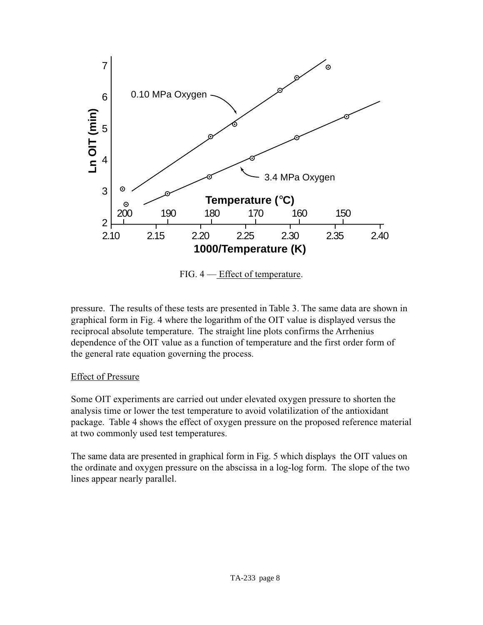

FIG. 4 — Effect of temperature.

pressure. The results of these tests are presented in Table 3. The same data are shown in graphical form in Fig. 4 where the logarithm of the OIT value is displayed versus the reciprocal absolute temperature. The straight line plots confirms the Arrhenius dependence of the OIT value as a function of temperature and the first order form of the general rate equation governing the process.

### Effect of Pressure

Some OIT experiments are carried out under elevated oxygen pressure to shorten the analysis time or lower the test temperature to avoid volatilization of the antioxidant package. Table 4 shows the effect of oxygen pressure on the proposed reference material at two commonly used test temperatures.

The same data are presented in graphical form in Fig. 5 which displays the OIT values on the ordinate and oxygen pressure on the abscissa in a log-log form. The slope of the two lines appear nearly parallel.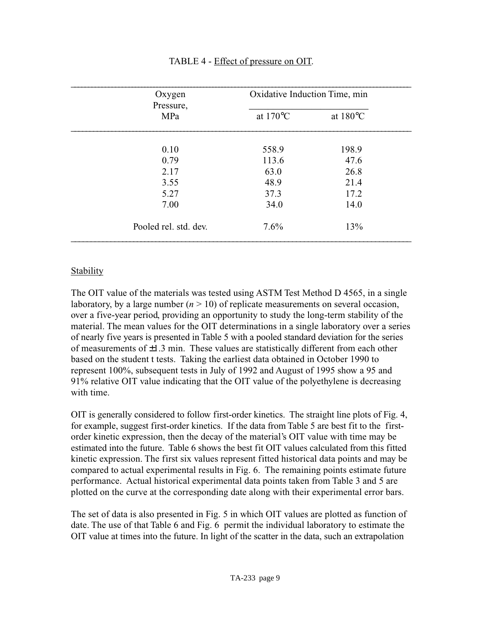| Oxygen<br>Pressure,   | Oxidative Induction Time, min |                    |  |
|-----------------------|-------------------------------|--------------------|--|
| MPa                   | at $170^{\circ}$ C            | at $180^{\circ}$ C |  |
| 0.10                  | 558.9                         | 198.9              |  |
| 0.79                  | 113.6                         | 47.6               |  |
| 2.17                  | 63.0                          | 26.8               |  |
| 3.55                  | 48.9                          | 21.4               |  |
| 5.27                  | 37.3                          | 17.2               |  |
| 7.00                  | 34.0                          | 14.0               |  |
| Pooled rel. std. dev. | 7.6%                          | 13%                |  |

### TABLE 4 - Effect of pressure on OIT.

### **Stability**

The OIT value of the materials was tested using ASTM Test Method D 4565, in a single laboratory, by a large number  $(n > 10)$  of replicate measurements on several occasion, over a five-year period, providing an opportunity to study the long-term stability of the material. The mean values for the OIT determinations in a single laboratory over a series of nearly five years is presented in Table 5 with a pooled standard deviation for the series of measurements of  $\pm 1.3$  min. These values are statistically different from each other based on the student t tests. Taking the earliest data obtained in October 1990 to represent 100%, subsequent tests in July of 1992 and August of 1995 show a 95 and 91% relative OIT value indicating that the OIT value of the polyethylene is decreasing with time.

OIT is generally considered to follow first-order kinetics. The straight line plots of Fig. 4, for example, suggest first-order kinetics. If the data from Table 5 are best fit to the firstorder kinetic expression, then the decay of the material's OIT value with time may be estimated into the future. Table 6 shows the best fit OIT values calculated from this fitted kinetic expression. The first six values represent fitted historical data points and may be compared to actual experimental results in Fig. 6. The remaining points estimate future performance. Actual historical experimental data points taken from Table 3 and 5 are plotted on the curve at the corresponding date along with their experimental error bars.

The set of data is also presented in Fig. 5 in which OIT values are plotted as function of date. The use of that Table 6 and Fig. 6 permit the individual laboratory to estimate the OIT value at times into the future. In light of the scatter in the data, such an extrapolation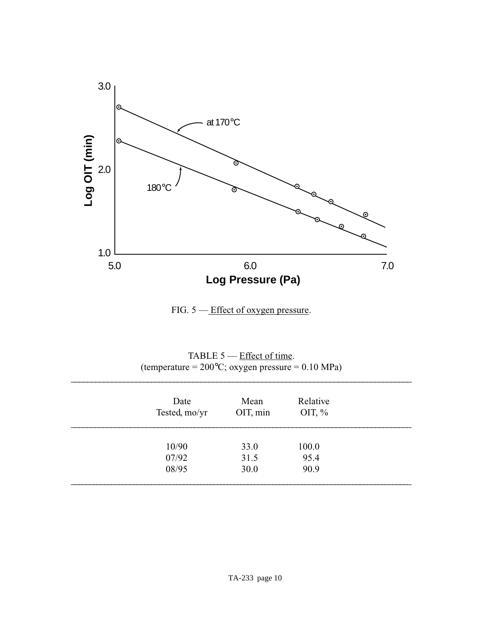

FIG. 5 — Effect of oxygen pressure.

| TABLE $5$ — Effect of time.                                 |
|-------------------------------------------------------------|
| (temperature = $200^{\circ}$ C; oxygen pressure = 0.10 MPa) |

\_\_\_\_\_\_\_\_\_\_\_\_\_\_\_\_\_\_\_\_\_\_\_\_\_\_\_\_\_\_\_\_\_\_\_\_\_\_\_\_\_\_\_\_\_\_\_\_\_\_\_\_\_\_\_\_\_\_\_\_\_\_\_\_\_\_\_\_\_\_\_\_\_\_\_\_\_\_\_\_\_\_\_\_\_

| Date<br>Tested, mo/yr | Mean<br>OIT, min | Relative<br>OIT, $\%$ |  |
|-----------------------|------------------|-----------------------|--|
| 10/90                 | 33.0             | 100.0                 |  |
| 07/92                 | 31.5             | 95.4                  |  |
| 08/95                 | 30.0             | 90.9                  |  |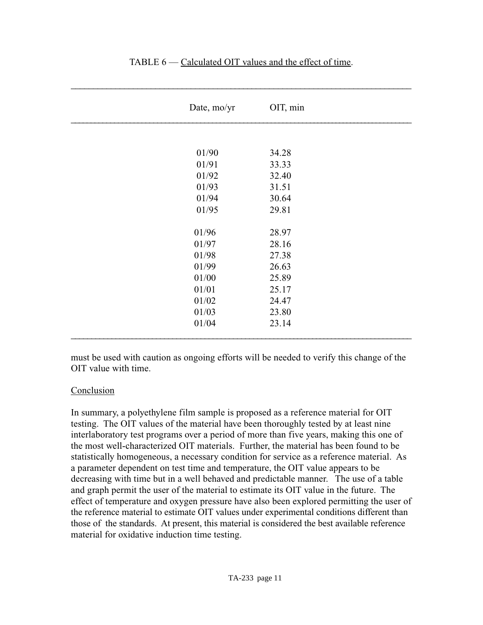| Date, mo/yr | OIT, min |
|-------------|----------|
|             |          |
| 01/90       | 34.28    |
| 01/91       | 33.33    |
| 01/92       | 32.40    |
| 01/93       | 31.51    |
| 01/94       | 30.64    |
| 01/95       | 29.81    |
|             |          |
| 01/96       | 28.97    |
| 01/97       | 28.16    |
| 01/98       | 27.38    |
| 01/99       | 26.63    |
| 01/00       | 25.89    |
| 01/01       | 25.17    |
| 01/02       | 24.47    |
| 01/03       | 23.80    |
| 01/04       | 23.14    |
|             |          |

#### TABLE 6 — Calculated OIT values and the effect of time.

\_\_\_\_\_\_\_\_\_\_\_\_\_\_\_\_\_\_\_\_\_\_\_\_\_\_\_\_\_\_\_\_\_\_\_\_\_\_\_\_\_\_\_\_\_\_\_\_\_\_\_\_\_\_\_\_\_\_\_\_\_\_\_\_\_\_\_\_\_\_\_\_\_\_\_\_\_

must be used with caution as ongoing efforts will be needed to verify this change of the OIT value with time.

### Conclusion

In summary, a polyethylene film sample is proposed as a reference material for OIT testing. The OIT values of the material have been thoroughly tested by at least nine interlaboratory test programs over a period of more than five years, making this one of the most well-characterized OIT materials. Further, the material has been found to be statistically homogeneous, a necessary condition for service as a reference material. As a parameter dependent on test time and temperature, the OIT value appears to be decreasing with time but in a well behaved and predictable manner. The use of a table and graph permit the user of the material to estimate its OIT value in the future. The effect of temperature and oxygen pressure have also been explored permitting the user of the reference material to estimate OIT values under experimental conditions different than those of the standards. At present, this material is considered the best available reference material for oxidative induction time testing.